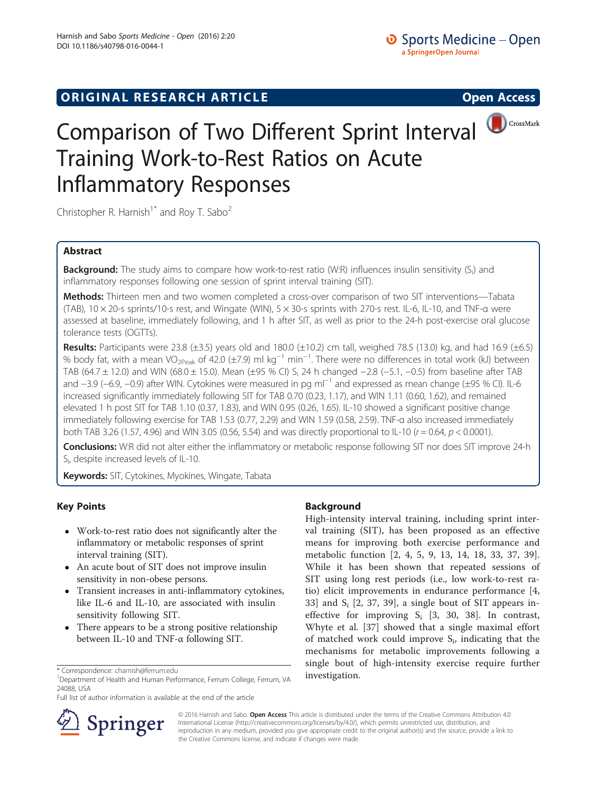# **ORIGINAL RESEARCH ARTICLE CONSUMING ACCESS**



# Comparison of Two Different Sprint Interval Training Work-to-Rest Ratios on Acute Inflammatory Responses

Christopher R. Harnish<sup>1\*</sup> and Roy T. Sabo<sup>2</sup>

# Abstract

**Background:** The study aims to compare how work-to-rest ratio (W:R) influences insulin sensitivity (S<sub>i</sub>) and inflammatory responses following one session of sprint interval training (SIT).

Methods: Thirteen men and two women completed a cross-over comparison of two SIT interventions-Tabata (TAB), 10 × 20-s sprints/10-s rest, and Wingate (WIN), 5 × 30-s sprints with 270-s rest. IL-6, IL-10, and TNF-α were assessed at baseline, immediately following, and 1 h after SIT, as well as prior to the 24-h post-exercise oral glucose tolerance tests (OGTTs).

Results: Participants were 23.8 ( $\pm$ 3.5) years old and 180.0 ( $\pm$ 10.2) cm tall, weighed 78.5 (13.0) kg, and had 16.9 ( $\pm$ 6.5) % body fat, with a mean VO<sub>2Peak</sub> of 42.0 (±7.9) ml kg<sup>-1</sup> min<sup>-1</sup>. There were no differences in total work (kJ) between TAB (64.7 ± 12.0) and WIN (68.0 ± 15.0). Mean (±95 % CI) Si 24 h changed −2.8 (−5.1, −0.5) from baseline after TAB and −3.9 (−6.9, −0.9) after WIN. Cytokines were measured in pg ml<sup>-1</sup> and expressed as mean change (±95 % CI). IL-6 increased significantly immediately following SIT for TAB 0.70 (0.23, 1.17), and WIN 1.11 (0.60, 1.62), and remained elevated 1 h post SIT for TAB 1.10 (0.37, 1.83), and WIN 0.95 (0.26, 1.65). IL-10 showed a significant positive change immediately following exercise for TAB 1.53 (0.77, 2.29) and WIN 1.59 (0.58, 2.59). TNF-α also increased immediately both TAB 3.26 (1.57, 4.96) and WIN 3.05 (0.56, 5.54) and was directly proportional to IL-10 ( $r = 0.64$ ,  $p < 0.0001$ ).

Conclusions: W:R did not alter either the inflammatory or metabolic response following SIT nor does SIT improve 24-h Si , despite increased levels of IL-10.

Keywords: SIT, Cytokines, Myokines, Wingate, Tabata

# Key Points

- Work-to-rest ratio does not significantly alter the inflammatory or metabolic responses of sprint interval training (SIT).
- An acute bout of SIT does not improve insulin sensitivity in non-obese persons.
- Transient increases in anti-inflammatory cytokines, like IL-6 and IL-10, are associated with insulin sensitivity following SIT.
- There appears to be a strong positive relationship between IL-10 and TNF-α following SIT.

Full list of author information is available at the end of the article

# Background

High-intensity interval training, including sprint interval training (SIT), has been proposed as an effective means for improving both exercise performance and metabolic function [[2, 4](#page-7-0), [5](#page-7-0), [9, 13, 14](#page-7-0), [18, 33, 37](#page-7-0), [39](#page-7-0)]. While it has been shown that repeated sessions of SIT using long rest periods (i.e., low work-to-rest ratio) elicit improvements in endurance performance [\[4](#page-7-0), [33\]](#page-7-0) and  $S_i$  [\[2](#page-7-0), [37](#page-7-0), [39\]](#page-7-0), a single bout of SIT appears ineffective for improving  $S_i$  [\[3](#page-7-0), [30](#page-7-0), [38](#page-7-0)]. In contrast, Whyte et al. [\[37](#page-7-0)] showed that a single maximal effort of matched work could improve  $S_i$ , indicating that the mechanisms for metabolic improvements following a single bout of high-intensity exercise require further



© 2016 Harnish and Sabo. Open Access This article is distributed under the terms of the Creative Commons Attribution 4.0 International License ([http://creativecommons.org/licenses/by/4.0/\)](http://creativecommons.org/licenses/by/4.0/), which permits unrestricted use, distribution, and reproduction in any medium, provided you give appropriate credit to the original author(s) and the source, provide a link to the Creative Commons license, and indicate if changes were made.

<sup>\*</sup> Correspondence: [charnish@ferrum.edu](mailto:charnish@ferrum.edu)<br><sup>1</sup> Department of Health and Human Performance, Ferrum College, Ferrum, VA **investigation.** 24088, USA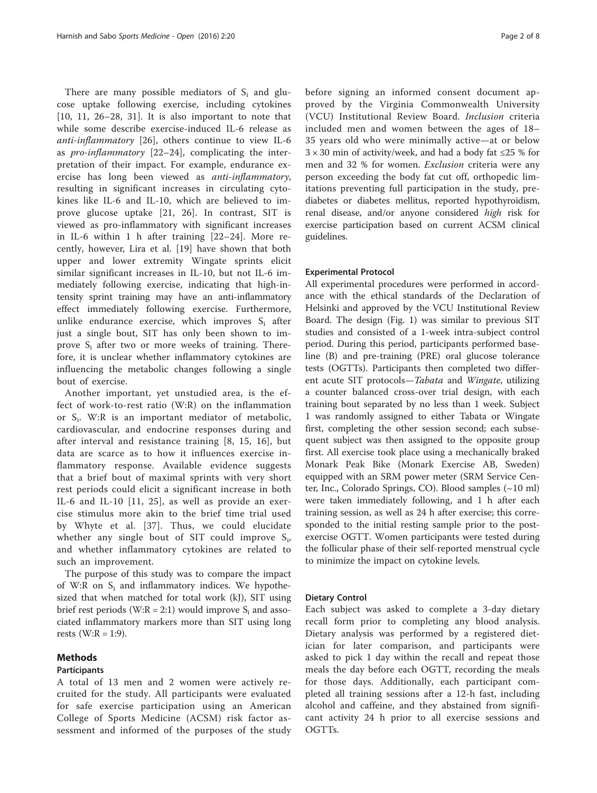There are many possible mediators of  $S_i$  and glucose uptake following exercise, including cytokines [[10, 11, 26](#page-7-0)–[28](#page-7-0), [31](#page-7-0)]. It is also important to note that while some describe exercise-induced IL-6 release as anti-inflammatory [\[26](#page-7-0)], others continue to view IL-6 as pro-inflammatory [[22](#page-7-0)–[24](#page-7-0)], complicating the interpretation of their impact. For example, endurance exercise has long been viewed as anti-inflammatory, resulting in significant increases in circulating cytokines like IL-6 and IL-10, which are believed to improve glucose uptake [\[21](#page-7-0), [26](#page-7-0)]. In contrast, SIT is viewed as pro-inflammatory with significant increases in IL-6 within 1 h after training [\[22](#page-7-0)–[24](#page-7-0)]. More recently, however, Lira et al. [[19\]](#page-7-0) have shown that both upper and lower extremity Wingate sprints elicit similar significant increases in IL-10, but not IL-6 immediately following exercise, indicating that high-intensity sprint training may have an anti-inflammatory effect immediately following exercise. Furthermore, unlike endurance exercise, which improves  $S_i$  after just a single bout, SIT has only been shown to improve  $S_i$  after two or more weeks of training. Therefore, it is unclear whether inflammatory cytokines are influencing the metabolic changes following a single bout of exercise.

Another important, yet unstudied area, is the effect of work-to-rest ratio (W:R) on the inflammation or Si. W:R is an important mediator of metabolic, cardiovascular, and endocrine responses during and after interval and resistance training [[8, 15, 16](#page-7-0)], but data are scarce as to how it influences exercise inflammatory response. Available evidence suggests that a brief bout of maximal sprints with very short rest periods could elicit a significant increase in both IL-6 and IL-10 [[11](#page-7-0), [25](#page-7-0)], as well as provide an exercise stimulus more akin to the brief time trial used by Whyte et al. [\[37\]](#page-7-0). Thus, we could elucidate whether any single bout of SIT could improve  $S_i$ , and whether inflammatory cytokines are related to such an improvement.

The purpose of this study was to compare the impact of W:R on  $S_i$  and inflammatory indices. We hypothesized that when matched for total work (kJ), SIT using brief rest periods (W:R = 2:1) would improve  $S_i$  and associated inflammatory markers more than SIT using long rests (W: $R = 1:9$ ).

## Methods

### Participants

A total of 13 men and 2 women were actively recruited for the study. All participants were evaluated for safe exercise participation using an American College of Sports Medicine (ACSM) risk factor assessment and informed of the purposes of the study before signing an informed consent document approved by the Virginia Commonwealth University (VCU) Institutional Review Board. Inclusion criteria included men and women between the ages of 18– 35 years old who were minimally active—at or below  $3 \times 30$  min of activity/week, and had a body fat ≤25 % for men and 32 % for women. Exclusion criteria were any person exceeding the body fat cut off, orthopedic limitations preventing full participation in the study, prediabetes or diabetes mellitus, reported hypothyroidism, renal disease, and/or anyone considered high risk for exercise participation based on current ACSM clinical guidelines.

### Experimental Protocol

All experimental procedures were performed in accordance with the ethical standards of the Declaration of Helsinki and approved by the VCU Institutional Review Board. The design (Fig. [1](#page-2-0)) was similar to previous SIT studies and consisted of a 1-week intra-subject control period. During this period, participants performed baseline (B) and pre-training (PRE) oral glucose tolerance tests (OGTTs). Participants then completed two different acute SIT protocols—Tabata and Wingate, utilizing a counter balanced cross-over trial design, with each training bout separated by no less than 1 week. Subject 1 was randomly assigned to either Tabata or Wingate first, completing the other session second; each subsequent subject was then assigned to the opposite group first. All exercise took place using a mechanically braked Monark Peak Bike (Monark Exercise AB, Sweden) equipped with an SRM power meter (SRM Service Center, Inc., Colorado Springs, CO). Blood samples (~10 ml) were taken immediately following, and 1 h after each training session, as well as 24 h after exercise; this corresponded to the initial resting sample prior to the postexercise OGTT. Women participants were tested during the follicular phase of their self-reported menstrual cycle to minimize the impact on cytokine levels.

#### Dietary Control

Each subject was asked to complete a 3-day dietary recall form prior to completing any blood analysis. Dietary analysis was performed by a registered dietician for later comparison, and participants were asked to pick 1 day within the recall and repeat those meals the day before each OGTT, recording the meals for those days. Additionally, each participant completed all training sessions after a 12-h fast, including alcohol and caffeine, and they abstained from significant activity 24 h prior to all exercise sessions and OGTTs.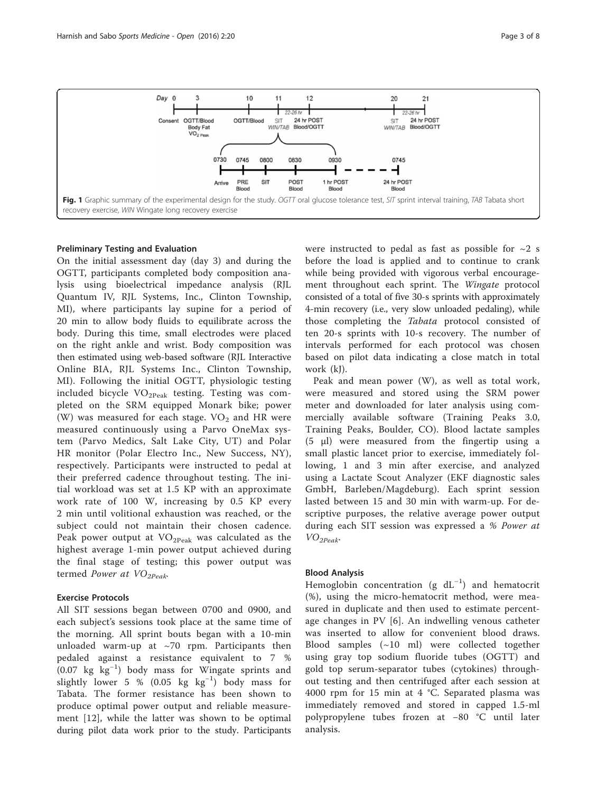<span id="page-2-0"></span>

## Preliminary Testing and Evaluation

On the initial assessment day (day 3) and during the OGTT, participants completed body composition analysis using bioelectrical impedance analysis (RJL Quantum IV, RJL Systems, Inc., Clinton Township, MI), where participants lay supine for a period of 20 min to allow body fluids to equilibrate across the body. During this time, small electrodes were placed on the right ankle and wrist. Body composition was then estimated using web-based software (RJL Interactive Online BIA, RJL Systems Inc., Clinton Township, MI). Following the initial OGTT, physiologic testing included bicycle  $VO<sub>2Peak</sub>$  testing. Testing was completed on the SRM equipped Monark bike; power (W) was measured for each stage.  $VO<sub>2</sub>$  and HR were measured continuously using a Parvo OneMax system (Parvo Medics, Salt Lake City, UT) and Polar HR monitor (Polar Electro Inc., New Success, NY), respectively. Participants were instructed to pedal at their preferred cadence throughout testing. The initial workload was set at 1.5 KP with an approximate work rate of 100 W, increasing by 0.5 KP every 2 min until volitional exhaustion was reached, or the subject could not maintain their chosen cadence. Peak power output at  $VO<sub>2Peak</sub>$  was calculated as the highest average 1-min power output achieved during the final stage of testing; this power output was termed Power at  $VO_{2Peak}$ 

# Exercise Protocols

All SIT sessions began between 0700 and 0900, and each subject's sessions took place at the same time of the morning. All sprint bouts began with a 10-min unloaded warm-up at  $\sim$ 70 rpm. Participants then pedaled against a resistance equivalent to 7 % (0.07 kg kg−<sup>1</sup> ) body mass for Wingate sprints and slightly lower 5 % (0.05 kg kg−<sup>1</sup> ) body mass for Tabata. The former resistance has been shown to produce optimal power output and reliable measurement [\[12\]](#page-7-0), while the latter was shown to be optimal during pilot data work prior to the study. Participants were instructed to pedal as fast as possible for  $\sim$ 2 s before the load is applied and to continue to crank while being provided with vigorous verbal encouragement throughout each sprint. The Wingate protocol consisted of a total of five 30-s sprints with approximately 4-min recovery (i.e., very slow unloaded pedaling), while those completing the Tabata protocol consisted of ten 20-s sprints with 10-s recovery. The number of intervals performed for each protocol was chosen based on pilot data indicating a close match in total work (kJ).

Peak and mean power (W), as well as total work, were measured and stored using the SRM power meter and downloaded for later analysis using commercially available software (Training Peaks 3.0, Training Peaks, Boulder, CO). Blood lactate samples (5 μl) were measured from the fingertip using a small plastic lancet prior to exercise, immediately following, 1 and 3 min after exercise, and analyzed using a Lactate Scout Analyzer (EKF diagnostic sales GmbH, Barleben/Magdeburg). Each sprint session lasted between 15 and 30 min with warm-up. For descriptive purposes, the relative average power output during each SIT session was expressed a % Power at VO2Peak.

## Blood Analysis

Hemoglobin concentration (g  $dL^{-1}$ ) and hematocrit (%), using the micro-hematocrit method, were measured in duplicate and then used to estimate percentage changes in PV [\[6](#page-7-0)]. An indwelling venous catheter was inserted to allow for convenient blood draws. Blood samples (~10 ml) were collected together using gray top sodium fluoride tubes (OGTT) and gold top serum-separator tubes (cytokines) throughout testing and then centrifuged after each session at 4000 rpm for 15 min at 4 °C. Separated plasma was immediately removed and stored in capped 1.5-ml polypropylene tubes frozen at −80 °C until later analysis.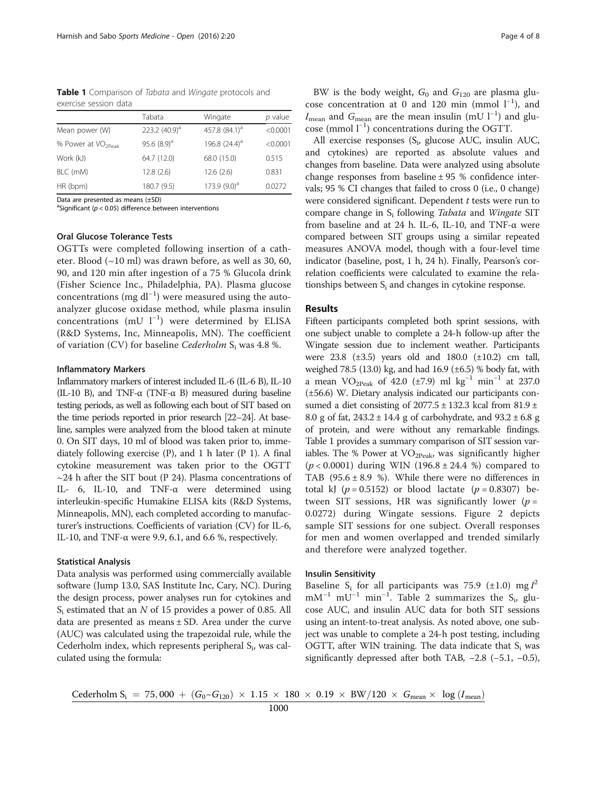Table 1 Comparison of Tabata and Wingate protocols and exercise session data

|                                | Tabata           | Wingate            | p value  |
|--------------------------------|------------------|--------------------|----------|
| Mean power (W)                 | 223.2 $(40.9)^a$ | 457.8 $(84.1)^{d}$ | < 0.0001 |
| % Power at VO <sub>2Peak</sub> | 95.6 $(8.9)^a$   | 196.8 $(24.4)^a$   | < 0.0001 |
| Work (kJ)                      | 64.7 (12.0)      | 68.0 (15.0)        | 0.515    |
| BLC (mM)                       | 12.8(2.6)        | 12.6(2.6)          | 0.831    |
| HR (bpm)                       | 180.7 (9.5)      | $173.9(9.0)^a$     | 0.0272   |

Data are presented as means (±SD)

 ${}^{a}$ Significant ( $p < 0.05$ ) difference between interventions

### Oral Glucose Tolerance Tests

OGTTs were completed following insertion of a catheter. Blood  $(\sim 10 \text{ ml})$  was drawn before, as well as 30, 60, 90, and 120 min after ingestion of a 75 % Glucola drink (Fisher Science Inc., Philadelphia, PA). Plasma glucose concentrations (mg dl−<sup>1</sup> ) were measured using the autoanalyzer glucose oxidase method, while plasma insulin concentrations (mU l−<sup>1</sup> ) were determined by ELISA (R&D Systems, Inc, Minneapolis, MN). The coefficient of variation (CV) for baseline Cederholm  $S_i$  was 4.8 %.

#### Inflammatory Markers

Inflammatory markers of interest included IL-6 (IL-6 B), IL-10 (IL-10 B), and TNF- $\alpha$  (TNF- $\alpha$  B) measured during baseline testing periods, as well as following each bout of SIT based on the time periods reported in prior research [\[22](#page-7-0)–[24](#page-7-0)]. At baseline, samples were analyzed from the blood taken at minute 0. On SIT days, 10 ml of blood was taken prior to, immediately following exercise (P), and 1 h later (P 1). A final cytokine measurement was taken prior to the OGTT  $\sim$ 24 h after the SIT bout (P 24). Plasma concentrations of IL- 6, IL-10, and TNF-α were determined using interleukin-specific Humakine ELISA kits (R&D Systems, Minneapolis, MN), each completed according to manufacturer's instructions. Coefficients of variation (CV) for IL-6, IL-10, and TNF- $\alpha$  were 9.9, 6.1, and 6.6 %, respectively.

#### Statistical Analysis

Data analysis was performed using commercially available software (Jump 13.0, SAS Institute Inc, Cary, NC). During the design process, power analyses run for cytokines and  $S_i$  estimated that an N of 15 provides a power of 0.85. All data are presented as means  $\pm$  SD. Area under the curve (AUC) was calculated using the trapezoidal rule, while the Cederholm index, which represents peripheral  $S_i$ , was calculated using the formula:

BW is the body weight,  $G_0$  and  $G_{120}$  are plasma glucose concentration at 0 and 120 min (mmol l<sup>-1</sup>), and  $I_{\text{mean}}$  and  $G_{\text{mean}}$  are the mean insulin (mU l<sup>-1</sup>) and glucose (mmol l−<sup>1</sup> ) concentrations during the OGTT.

All exercise responses  $(S_i, g)$ lucose AUC, insulin AUC, and cytokines) are reported as absolute values and changes from baseline. Data were analyzed using absolute change responses from baseline  $\pm$  95 % confidence intervals; 95 % CI changes that failed to cross 0 (i.e., 0 change) were considered significant. Dependent  $t$  tests were run to compare change in  $S_i$  following *Tabata* and *Wingate* SIT from baseline and at 24 h. IL-6, IL-10, and TNF- $\alpha$  were compared between SIT groups using a similar repeated measures ANOVA model, though with a four-level time indicator (baseline, post, 1 h, 24 h). Finally, Pearson's correlation coefficients were calculated to examine the relationships between  $S_i$  and changes in cytokine response.

#### **Results**

Fifteen participants completed both sprint sessions, with one subject unable to complete a 24-h follow-up after the Wingate session due to inclement weather. Participants were 23.8 (±3.5) years old and 180.0 (±10.2) cm tall, weighed 78.5 (13.0) kg, and had 16.9 ( $\pm$ 6.5) % body fat, with a mean VO<sub>2Peak</sub> of 42.0 (±7.9) ml kg<sup>-1</sup> min<sup>-1</sup> at 237.0 (±56.6) W. Dietary analysis indicated our participants consumed a diet consisting of  $2077.5 \pm 132.3$  kcal from  $81.9 \pm$ 8.0 g of fat,  $243.2 \pm 14.4$  g of carbohydrate, and  $93.2 \pm 6.8$  g of protein, and were without any remarkable findings. Table 1 provides a summary comparison of SIT session variables. The % Power at  $VO<sub>2Peak</sub>$  was significantly higher  $(p < 0.0001)$  during WIN  $(196.8 \pm 24.4 \%)$  compared to TAB  $(95.6 \pm 8.9 \%)$ . While there were no differences in total kJ  $(p = 0.5152)$  or blood lactate  $(p = 0.8307)$  between SIT sessions, HR was significantly lower ( $p =$ 0.0272) during Wingate sessions. Figure [2](#page-4-0) depicts sample SIT sessions for one subject. Overall responses for men and women overlapped and trended similarly and therefore were analyzed together.

## Insulin Sensitivity

Baseline S<sub>i</sub> for all participants was 75.9 (±1.0) mg  $I^2$ mM<sup>-1</sup> mU<sup>-1</sup> min<sup>-1</sup>. Table [2](#page-5-0) summarizes the S<sub>i</sub>, glucose AUC, and insulin AUC data for both SIT sessions using an intent-to-treat analysis. As noted above, one subject was unable to complete a 24-h post testing, including OGTT, after WIN training. The data indicate that  $S_i$  was significantly depressed after both TAB, −2.8 (−5.1, −0.5),

Cederholm S<sub>i</sub> = 75,000 +  $(G_0-G_{120}) \times 1.15 \times 180 \times 0.19 \times BW/120 \times G_{mean} \times log (I_{mean})$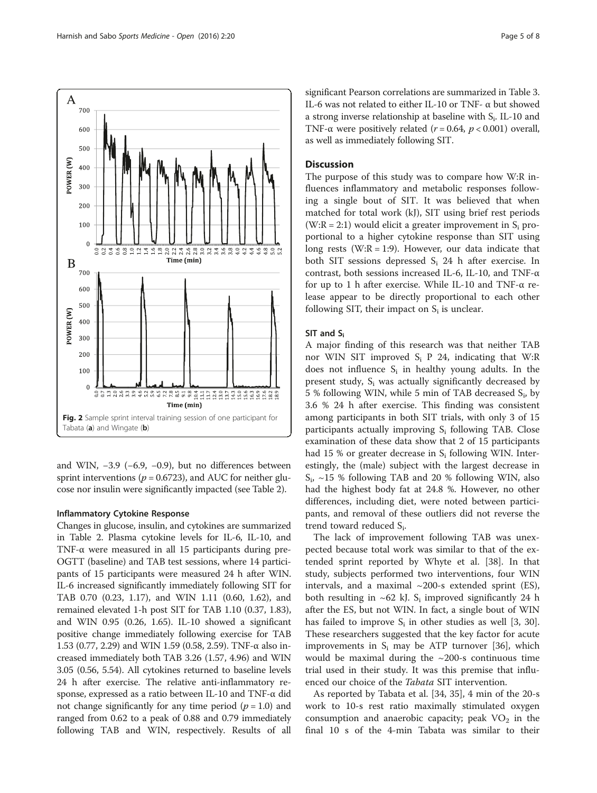<span id="page-4-0"></span>

and WIN, −3.9 (−6.9, −0.9), but no differences between sprint interventions ( $p = 0.6723$ ), and AUC for neither glucose nor insulin were significantly impacted (see Table [2\)](#page-5-0).

## Inflammatory Cytokine Response

Changes in glucose, insulin, and cytokines are summarized in Table [2.](#page-5-0) Plasma cytokine levels for IL-6, IL-10, and TNF-α were measured in all 15 participants during pre-OGTT (baseline) and TAB test sessions, where 14 participants of 15 participants were measured 24 h after WIN. IL-6 increased significantly immediately following SIT for TAB 0.70 (0.23, 1.17), and WIN 1.11 (0.60, 1.62), and remained elevated 1-h post SIT for TAB 1.10 (0.37, 1.83), and WIN 0.95 (0.26, 1.65). IL-10 showed a significant positive change immediately following exercise for TAB 1.53 (0.77, 2.29) and WIN 1.59 (0.58, 2.59). TNF-α also increased immediately both TAB 3.26 (1.57, 4.96) and WIN 3.05 (0.56, 5.54). All cytokines returned to baseline levels 24 h after exercise. The relative anti-inflammatory response, expressed as a ratio between IL-10 and TNF-α did not change significantly for any time period  $(p = 1.0)$  and ranged from 0.62 to a peak of 0.88 and 0.79 immediately following TAB and WIN, respectively. Results of all

significant Pearson correlations are summarized in Table [3](#page-5-0). IL-6 was not related to either IL-10 or TNF- α but showed a strong inverse relationship at baseline with Si. IL-10 and TNF- $\alpha$  were positively related ( $r = 0.64$ ,  $p < 0.001$ ) overall, as well as immediately following SIT.

## **Discussion**

The purpose of this study was to compare how W:R influences inflammatory and metabolic responses following a single bout of SIT. It was believed that when matched for total work (kJ), SIT using brief rest periods  $(W:R = 2:1)$  would elicit a greater improvement in S<sub>i</sub> proportional to a higher cytokine response than SIT using long rests (W:R = 1:9). However, our data indicate that both SIT sessions depressed  $S_i$  24 h after exercise. In contrast, both sessions increased IL-6, IL-10, and TNF-α for up to 1 h after exercise. While IL-10 and TNF-α release appear to be directly proportional to each other following SIT, their impact on  $S_i$  is unclear.

### SIT and Si

A major finding of this research was that neither TAB nor WIN SIT improved  $S_i$  P 24, indicating that W:R does not influence  $S_i$  in healthy young adults. In the present study,  $S_i$  was actually significantly decreased by 5 % following WIN, while 5 min of TAB decreased  $S_i$ , by 3.6 % 24 h after exercise. This finding was consistent among participants in both SIT trials, with only 3 of 15 participants actually improving  $S_i$  following TAB. Close examination of these data show that 2 of 15 participants had 15 % or greater decrease in  $S_i$  following WIN. Interestingly, the (male) subject with the largest decrease in  $S_i$ , ~15 % following TAB and 20 % following WIN, also had the highest body fat at 24.8 %. However, no other differences, including diet, were noted between participants, and removal of these outliers did not reverse the trend toward reduced S<sub>i</sub>.

The lack of improvement following TAB was unexpected because total work was similar to that of the extended sprint reported by Whyte et al. [\[38](#page-7-0)]. In that study, subjects performed two interventions, four WIN intervals, and a maximal  $\sim$ 200-s extended sprint (ES), both resulting in  $\sim 62$  kJ. S<sub>i</sub> improved significantly 24 h after the ES, but not WIN. In fact, a single bout of WIN has failed to improve  $S_i$  in other studies as well [[3](#page-7-0), [30](#page-7-0)]. These researchers suggested that the key factor for acute improvements in  $S_i$  may be ATP turnover [\[36](#page-7-0)], which would be maximal during the  $\sim$ 200-s continuous time trial used in their study. It was this premise that influenced our choice of the Tabata SIT intervention.

As reported by Tabata et al. [[34](#page-7-0), [35\]](#page-7-0), 4 min of the 20-s work to 10-s rest ratio maximally stimulated oxygen consumption and anaerobic capacity; peak  $VO<sub>2</sub>$  in the final 10 s of the 4-min Tabata was similar to their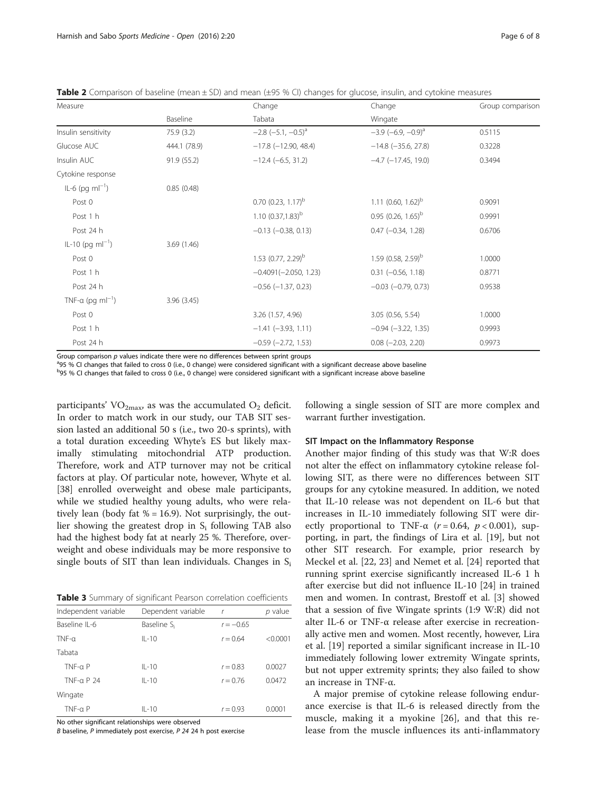<span id="page-5-0"></span>

| Measure                      |              | Change<br>Tabata                 | Change                      | Group comparison |
|------------------------------|--------------|----------------------------------|-----------------------------|------------------|
|                              | Baseline     |                                  | Wingate                     |                  |
| Insulin sensitivity          | 75.9 (3.2)   | $-2.8$ $(-5.1, -0.5)^{a}$        | $-3.9$ $(-6.9, -0.9)^{a}$   | 0.5115           |
| Glucose AUC                  | 444.1 (78.9) | $-17.8$ ( $-12.90$ , 48.4)       | $-14.8$ ( $-35.6$ , 27.8)   | 0.3228           |
| Insulin AUC                  | 91.9(55.2)   | $-12.4 (-6.5, 31.2)$             | $-4.7$ ( $-17.45$ , 19.0)   | 0.3494           |
| Cytokine response            |              |                                  |                             |                  |
| $IL-6$ (pg m $I^{-1}$ )      | 0.85(0.48)   |                                  |                             |                  |
| Post 0                       |              | $0.70$ (0.23, 1.17) <sup>b</sup> | 1.11 $(0.60, 1.62)^b$       | 0.9091           |
| Post 1 h                     |              | 1.10 $(0.37,1.83)^{b}$           | 0.95 $(0.26, 1.65)^{b}$     | 0.9991           |
| Post 24 h                    |              | $-0.13$ $(-0.38, 0.13)$          | $0.47$ $(-0.34, 1.28)$      | 0.6706           |
| $IL-10$ (pg m $I^{-1}$ )     | 3.69(1.46)   |                                  |                             |                  |
| Post 0                       |              | 1.53 $(0.77, 2.29)^{b}$          | 1.59 $(0.58, 2.59)^b$       | 1.0000           |
| Post 1 h                     |              | $-0.4091(-2.050, 1.23)$          | $0.31 (-0.56, 1.18)$        | 0.8771           |
| Post 24 h                    |              | $-0.56$ $(-1.37, 0.23)$          | $-0.03$ $(-0.79, 0.73)$     | 0.9538           |
| TNF-a (pg ml <sup>-1</sup> ) | 3.96(3.45)   |                                  |                             |                  |
| Post 0                       |              | 3.26 (1.57, 4.96)                | 3.05 (0.56, 5.54)           | 1.0000           |
| Post 1 h                     |              | $-1.41$ $(-3.93, 1.11)$          | $-0.94 (-3.22, 1.35)$       | 0.9993           |
| Post 24 h                    |              | $-0.59$ $(-2.72, 1.53)$          | $0.08$ ( $-2.03$ , $2.20$ ) | 0.9973           |

Group comparison  $p$  values indicate there were no differences between sprint groups

95 % CI changes that failed to cross 0 (i.e., 0 change) were considered significant with a significant decrease above baseline

<sup>b</sup>95 % CI changes that failed to cross 0 (i.e., 0 change) were considered significant with a significant increase above baseline

participants' VO<sub>2max</sub>, as was the accumulated  $O_2$  deficit. In order to match work in our study, our TAB SIT session lasted an additional 50 s (i.e., two 20-s sprints), with a total duration exceeding Whyte's ES but likely maximally stimulating mitochondrial ATP production. Therefore, work and ATP turnover may not be critical factors at play. Of particular note, however, Whyte et al. [[38\]](#page-7-0) enrolled overweight and obese male participants, while we studied healthy young adults, who were relatively lean (body fat  $% = 16.9$ ). Not surprisingly, the outlier showing the greatest drop in  $S_i$  following TAB also had the highest body fat at nearly 25 %. Therefore, overweight and obese individuals may be more responsive to single bouts of SIT than lean individuals. Changes in  $S_i$ 

Table 3 Summary of significant Pearson correlation coefficients

| Independent variable | Dependent variable      | $\mathsf{r}$ | p value  |
|----------------------|-------------------------|--------------|----------|
| Baseline IL-6        | Baseline S <sub>i</sub> | $r = -0.65$  |          |
| $TNF-a$              | $II - 10$               | $r = 0.64$   | < 0.0001 |
| Tabata               |                         |              |          |
| $TNF-a P$            | $II - 10$               | $r = 0.83$   | 0.0027   |
| TNF- $\alpha$ P 24   | $II - 10$               | $r = 0.76$   | 0.0472   |
| Wingate              |                         |              |          |
| $TNF-a P$            | $II - 10$               | $r = 0.93$   | 0.0001   |

No other significant relationships were observed

B baseline, P immediately post exercise, P 24 24 h post exercise

following a single session of SIT are more complex and warrant further investigation.

#### SIT Impact on the Inflammatory Response

Another major finding of this study was that W:R does not alter the effect on inflammatory cytokine release following SIT, as there were no differences between SIT groups for any cytokine measured. In addition, we noted that IL-10 release was not dependent on IL-6 but that increases in IL-10 immediately following SIT were directly proportional to TNF- $\alpha$  (r = 0.64, p < 0.001), supporting, in part, the findings of Lira et al. [\[19](#page-7-0)], but not other SIT research. For example, prior research by Meckel et al. [\[22](#page-7-0), [23](#page-7-0)] and Nemet et al. [[24](#page-7-0)] reported that running sprint exercise significantly increased IL-6 1 h after exercise but did not influence IL-10 [\[24\]](#page-7-0) in trained men and women. In contrast, Brestoff et al. [[3\]](#page-7-0) showed that a session of five Wingate sprints (1:9 W:R) did not alter IL-6 or TNF-α release after exercise in recreationally active men and women. Most recently, however, Lira et al. [[19\]](#page-7-0) reported a similar significant increase in IL-10 immediately following lower extremity Wingate sprints, but not upper extremity sprints; they also failed to show an increase in TNF-α.

A major premise of cytokine release following endurance exercise is that IL-6 is released directly from the muscle, making it a myokine [[26\]](#page-7-0), and that this release from the muscle influences its anti-inflammatory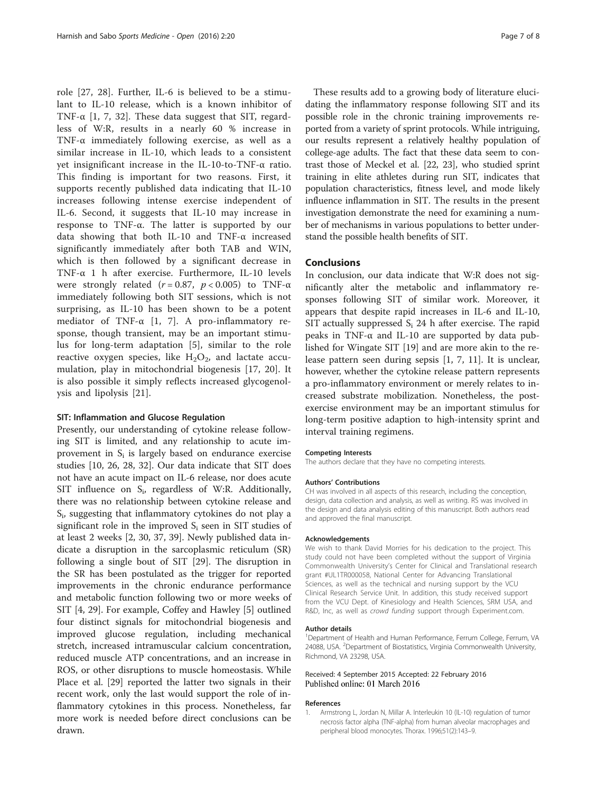role [[27, 28](#page-7-0)]. Further, IL-6 is believed to be a stimulant to IL-10 release, which is a known inhibitor of TNF- $\alpha$  [1, [7, 32](#page-7-0)]. These data suggest that SIT, regardless of W:R, results in a nearly 60 % increase in TNF-α immediately following exercise, as well as a similar increase in IL-10, which leads to a consistent yet insignificant increase in the IL-10-to-TNF-α ratio. This finding is important for two reasons. First, it supports recently published data indicating that IL-10 increases following intense exercise independent of IL-6. Second, it suggests that IL-10 may increase in response to TNF-α. The latter is supported by our data showing that both IL-10 and TNF-α increased significantly immediately after both TAB and WIN, which is then followed by a significant decrease in TNF-α 1 h after exercise. Furthermore, IL-10 levels were strongly related ( $r = 0.87$ ,  $p < 0.005$ ) to TNF- $\alpha$ immediately following both SIT sessions, which is not surprising, as IL-10 has been shown to be a potent mediator of TNF-α [1, [7\]](#page-7-0). A pro-inflammatory response, though transient, may be an important stimulus for long-term adaptation [[5\]](#page-7-0), similar to the role reactive oxygen species, like  $H_2O_2$ , and lactate accumulation, play in mitochondrial biogenesis [[17, 20](#page-7-0)]. It is also possible it simply reflects increased glycogenolysis and lipolysis [\[21](#page-7-0)].

#### SIT: Inflammation and Glucose Regulation

Presently, our understanding of cytokine release following SIT is limited, and any relationship to acute improvement in  $S_i$  is largely based on endurance exercise studies [[10, 26](#page-7-0), [28, 32](#page-7-0)]. Our data indicate that SIT does not have an acute impact on IL-6 release, nor does acute SIT influence on  $S_i$ , regardless of W:R. Additionally, there was no relationship between cytokine release and Si, suggesting that inflammatory cytokines do not play a significant role in the improved  $S_i$  seen in SIT studies of at least 2 weeks [\[2, 30](#page-7-0), [37](#page-7-0), [39](#page-7-0)]. Newly published data indicate a disruption in the sarcoplasmic reticulum (SR) following a single bout of SIT [\[29\]](#page-7-0). The disruption in the SR has been postulated as the trigger for reported improvements in the chronic endurance performance and metabolic function following two or more weeks of SIT [[4, 29\]](#page-7-0). For example, Coffey and Hawley [[5\]](#page-7-0) outlined four distinct signals for mitochondrial biogenesis and improved glucose regulation, including mechanical stretch, increased intramuscular calcium concentration, reduced muscle ATP concentrations, and an increase in ROS, or other disruptions to muscle homeostasis. While Place et al. [\[29\]](#page-7-0) reported the latter two signals in their recent work, only the last would support the role of inflammatory cytokines in this process. Nonetheless, far more work is needed before direct conclusions can be drawn.

These results add to a growing body of literature elucidating the inflammatory response following SIT and its possible role in the chronic training improvements reported from a variety of sprint protocols. While intriguing, our results represent a relatively healthy population of college-age adults. The fact that these data seem to contrast those of Meckel et al. [[22](#page-7-0), [23](#page-7-0)], who studied sprint training in elite athletes during run SIT, indicates that population characteristics, fitness level, and mode likely influence inflammation in SIT. The results in the present investigation demonstrate the need for examining a number of mechanisms in various populations to better understand the possible health benefits of SIT.

# Conclusions

In conclusion, our data indicate that W:R does not significantly alter the metabolic and inflammatory responses following SIT of similar work. Moreover, it appears that despite rapid increases in IL-6 and IL-10, SIT actually suppressed  $S_i$  24 h after exercise. The rapid peaks in TNF-α and IL-10 are supported by data published for Wingate SIT [\[19\]](#page-7-0) and are more akin to the release pattern seen during sepsis [1, [7](#page-7-0), [11\]](#page-7-0). It is unclear, however, whether the cytokine release pattern represents a pro-inflammatory environment or merely relates to increased substrate mobilization. Nonetheless, the postexercise environment may be an important stimulus for long-term positive adaption to high-intensity sprint and interval training regimens.

#### Competing Interests

The authors declare that they have no competing interests.

#### Authors' Contributions

CH was involved in all aspects of this research, including the conception, design, data collection and analysis, as well as writing. RS was involved in the design and data analysis editing of this manuscript. Both authors read and approved the final manuscript.

#### Acknowledgements

We wish to thank David Morries for his dedication to the project. This study could not have been completed without the support of Virginia Commonwealth University's Center for Clinical and Translational research grant #UL1TR000058, National Center for Advancing Translational Sciences, as well as the technical and nursing support by the VCU Clinical Research Service Unit. In addition, this study received support from the VCU Dept. of Kinesiology and Health Sciences, SRM USA, and R&D, Inc, as well as crowd funding support through Experiment.com.

#### Author details

<sup>1</sup>Department of Health and Human Performance, Ferrum College, Ferrum, VA 24088, USA. <sup>2</sup>Department of Biostatistics, Virginia Commonwealth University Richmond, VA 23298, USA.

#### Received: 4 September 2015 Accepted: 22 February 2016 Published online: 01 March 2016

#### References

Armstrong L, Jordan N, Millar A. Interleukin 10 (IL-10) regulation of tumor necrosis factor alpha (TNF-alpha) from human alveolar macrophages and peripheral blood monocytes. Thorax. 1996;51(2):143–9.